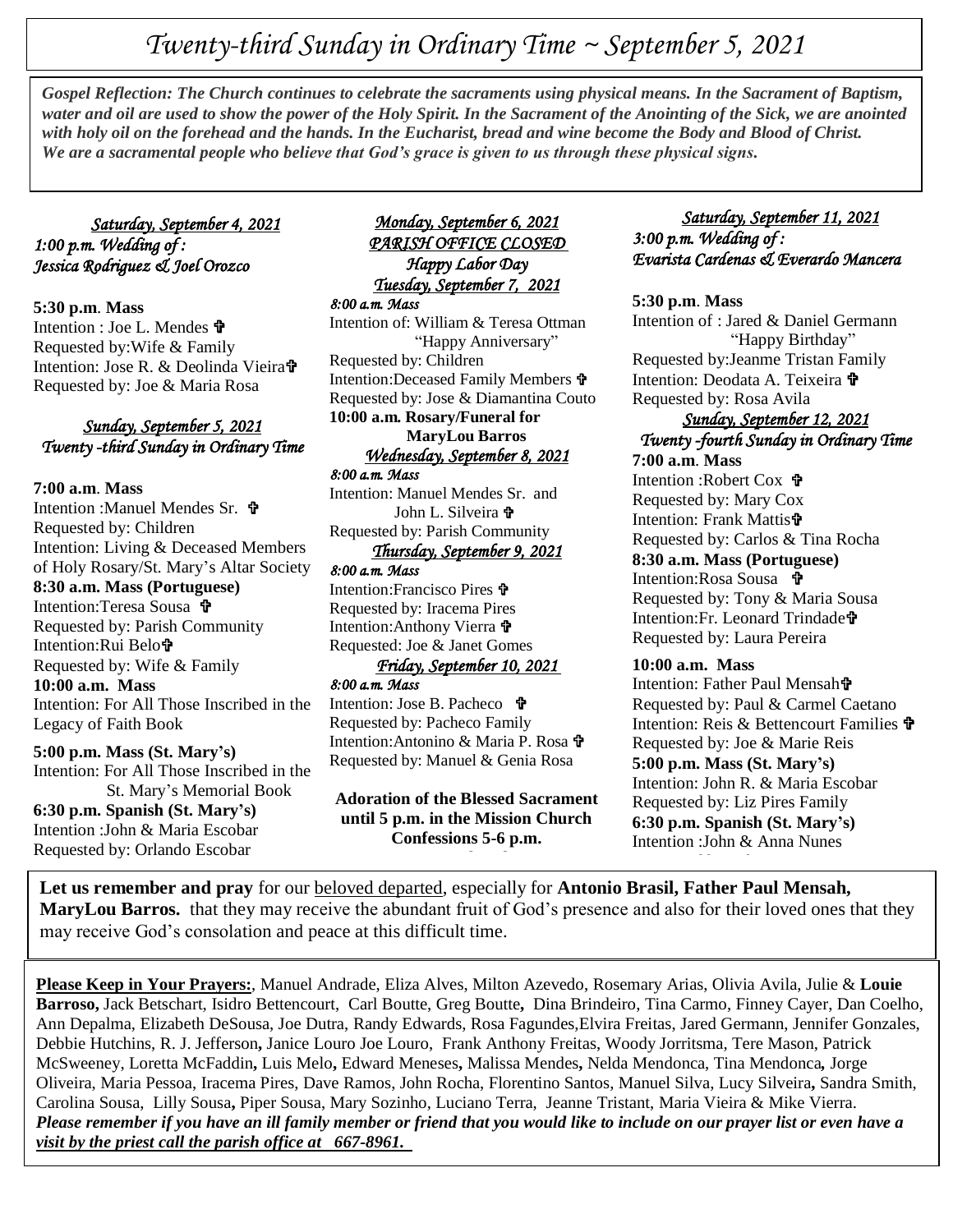# *Twenty-third Sunday in Ordinary Time ~ September 5, 2021*

Gospet Reflection: The Church continues to celebrate the sacraments using physical means. In the Sacrament of Baptism,<br>water and oil are used to show the power of the Holy Spirit. In the Sacrament of the Anointing of the S *Gospel Reflection: The Church continues to celebrate the sacraments using physical means. In the Sacrament of Baptism, with holy oil on the forehead and the hands. In the Eucharist, bread and wine become the Body and Blood of Christ. We are a sacramental people who believe that God's grace is given to us through these physical signs.*

#### *Saturday, September 4, 2021 1:00 p.m. Wedding of : Jessica Rodriguez & Joel Orozco*

**5:30 p.m**. **Mass** Intention : Joe L. Mendes 宁 Requested by:Wife & Family Intention: Jose R. & Deolinda Vieira Requested by: Joe & Maria Rosa

#### *Sunday, September 5, 2021 Twenty -third Sunday in Ordinary Time*

**7:00 a.m**. **Mass** Intention :Manuel Mendes Sr. Requested by: Children Intention: Living & Deceased Members of Holy Rosary/St. Mary's Altar Society **8:30 a.m. Mass (Portuguese)** Intention:Teresa Sousa Requested by: Parish Community Intention:Rui Belo Requested by: Wife & Family **10:00 a.m. Mass** Intention: For All Those Inscribed in the Legacy of Faith Book

#### **5:00 p.m. Mass (St. Mary's)** Intention: For All Those Inscribed in the St. Mary's Memorial Book **6:30 p.m. Spanish (St. Mary's)** Intention :John & Maria Escobar Requested by: Orlando Escobar

#### *Monday, September 6, 2021 PARISH OFFICE CLOSED Happy Labor Day Tuesday, September 7, 2021*

*8:00 a.m. Mass*  Intention of: William & Teresa Ottman "Happy Anniversary" Requested by: Children Intention:Deceased Family Members Requested by: Jose & Diamantina Couto **10:00 a.m. Rosary/Funeral for MaryLou Barros**  *Wednesday, September 8, 2021 8:00 a.m. Mass* 

Intention: Manuel Mendes Sr. and John L. Silveira  $\mathbf{\hat{v}}$ Requested by: Parish Community

## *Thursday, September 9, 2021*

*8:00 a.m. Mass*  Intention:Francisco Pires Requested by: Iracema Pires Intention:Anthony Vierra Requested: Joe & Janet Gomes

#### *Friday, September 10, 2021 8:00 a.m. Mass*

Intention: Jose B. Pacheco Requested by: Pacheco Family Intention:Antonino & Maria P. Rosa Requested by: Manuel & Genia Rosa

**Adoration of the Blessed Sacrament until 5 p.m. in the Mission Church Confessions 5-6 p.m.**

#### *Saturday, September 11, 2021 3:00 p.m. Wedding of : Evarista Cardenas & Everardo Mancera*

#### **5:30 p.m**. **Mass**

Intention of : Jared & Daniel Germann "Happy Birthday" Requested by:Jeanme Tristan Family Intention: Deodata A. Teixeira  $\mathbf{\hat{\mathbf{P}}}$ Requested by: Rosa Avila

# *Sunday, September 12, 2021 Twenty -fourth Sunday in Ordinary Time*

**7:00 a.m**. **Mass** Intention :Robert Cox Requested by: Mary Cox Intention: Frank Mattis Requested by: Carlos & Tina Rocha **8:30 a.m. Mass (Portuguese)** Intention:Rosa Sousa 宁 Requested by: Tony & Maria Sousa Intention:Fr. Leonard Trindade Requested by: Laura Pereira

#### **10:00 a.m. Mass**

Intention: Father Paul Mensah Requested by: Paul & Carmel Caetano Intention: Reis & Bettencourt Families  $\mathbf{\hat{\mathbf{F}}}$ Requested by: Joe & Marie Reis **5:00 p.m. Mass (St. Mary's)** Intention: John R. & Maria Escobar Requested by: Liz Pires Family **6:30 p.m. Spanish (St. Mary's)** Intention :John & Anna Nunes

**MaryLou Barros.** that they may receive the abundant fruit of God's presence and also for their loved ones that they may receive the abundant fruit of God's presence and also for their loved ones that they **Let us remember and pray** for our beloved departed, especially for **Antonio Brasil, Father Paul Mensah,**  may receive God's consolation and peace at this difficult time.

**Please Keep in Your Prayers:**, Manuel Andrade, Eliza Alves, Milton Azevedo, Rosemary Arias, Olivia Avila, Julie & **Louie Barroso,** Jack Betschart, Isidro Bettencourt, Carl Boutte, Greg Boutte**,** Dina Brindeiro, Tina Carmo, Finney Cayer, Dan Coelho, Ann Depalma, Elizabeth DeSousa, Joe Dutra, Randy Edwards, Rosa Fagundes,Elvira Freitas, Jared Germann, Jennifer Gonzales, Debbie Hutchins, R. J. Jefferson**,** Janice Louro Joe Louro, Frank Anthony Freitas, Woody Jorritsma, Tere Mason, Patrick McSweeney, Loretta McFaddin**,** Luis Melo**,** Edward Meneses**,** Malissa Mendes**,** Nelda Mendonca, Tina Mendonca*,* Jorge Oliveira, Maria Pessoa, Iracema Pires, Dave Ramos, John Rocha, Florentino Santos, Manuel Silva, Lucy Silveira**,** Sandra Smith, Carolina Sousa, Lilly Sousa**,** Piper Sousa, Mary Sozinho, Luciano Terra, Jeanne Tristant, Maria Vieira & Mike Vierra. *Please remember if you have an ill family member or friend that you would like to include on our prayer list or even have a visit by the priest call the parish office at 667-8961.*